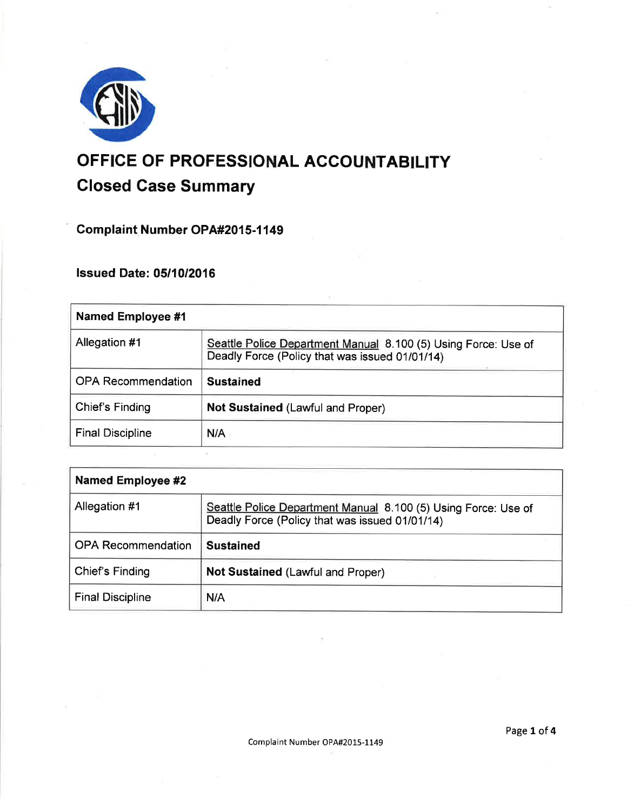

# OFFICE OF PROFESSIONAL ACCOUNTABILITY Closed Gase Summary

Complaint Number OPA#2015-1149

lssued Date: 0511012016

| <b>Named Employee #1</b>  |                                                                                                                  |
|---------------------------|------------------------------------------------------------------------------------------------------------------|
| Allegation #1             | Seattle Police Department Manual 8.100 (5) Using Force: Use of<br>Deadly Force (Policy that was issued 01/01/14) |
| <b>OPA Recommendation</b> | <b>Sustained</b>                                                                                                 |
| <b>Chief's Finding</b>    | Not Sustained (Lawful and Proper)                                                                                |
| <b>Final Discipline</b>   | N/A                                                                                                              |

| Named Employee #2         |                                                                                                                  |
|---------------------------|------------------------------------------------------------------------------------------------------------------|
| Allegation #1             | Seattle Police Department Manual 8.100 (5) Using Force: Use of<br>Deadly Force (Policy that was issued 01/01/14) |
| <b>OPA Recommendation</b> | <b>Sustained</b>                                                                                                 |
| Chief's Finding           | Not Sustained (Lawful and Proper)                                                                                |
| <b>Final Discipline</b>   | N/A                                                                                                              |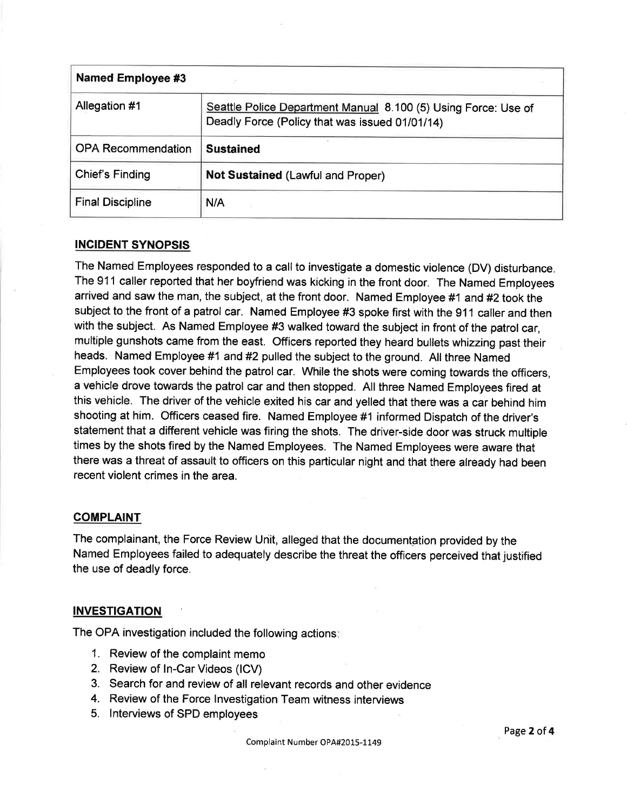| <b>Named Employee #3</b>  |                                                                                                                  |
|---------------------------|------------------------------------------------------------------------------------------------------------------|
| Allegation #1             | Seattle Police Department Manual 8.100 (5) Using Force: Use of<br>Deadly Force (Policy that was issued 01/01/14) |
| <b>OPA Recommendation</b> | <b>Sustained</b>                                                                                                 |
| Chief's Finding           | <b>Not Sustained (Lawful and Proper)</b>                                                                         |
| <b>Final Discipline</b>   | N/A                                                                                                              |

# INCIDENT SYNOPSIS

The Named Employees responded to a call to investigate a domestic violence (DV) disturbance. The 911 caller reported that her boyfriend was kicking in the front door. The Named Employees arrived and saw the man, the subject, at the front door. Named Employee #1 and #2 took the subject to the front of a patrol car. Named Employee #3 spoke first with the 911 caller and then with the subject. As Named Employee #3 walked toward the subject in front of the patrol car, multiple gunshots came from the east. Officers reported they heard bullets whizzing past their heads. Named Employee #1 and #2 pulled the subject to the ground. All three Named Employees took cover behind the patrol car. While the shots were coming towards the officers, a vehicle drove towards the patrol car and then stopped. All three Named Employees fired at this vehicle. The driver of the vehicle exited his car and yelled that there was a car behind him shooting at him. Officers ceased fire. Named Employee #1 informed Dispatch of the driver's statement that a different vehicle was firing the shots. The driver-side door was struck multiple times by the shots fired by the Named Employees. The Named Employees were aware that there was a threat of assault to officers on this particular night and that there already had been recent violent crimes in the area.

# **COMPLAINT**

The complainant, the Force Review Unit, alleged that the documentation provided by the Named Employees failed to adequately describe the threat the officers perceived that justified the use of deadly force.

# INVESTIGATION

The OPA investigation included the following actions

- 1. Review of the complaint memo
- 2. Review of ln-Car Videos (lCV)
- 3. Search for and review of all relevant records and other evidence
- 4. Review of the Force lnvestigation Team witness interviews
- 5. lnterviews of SPD employees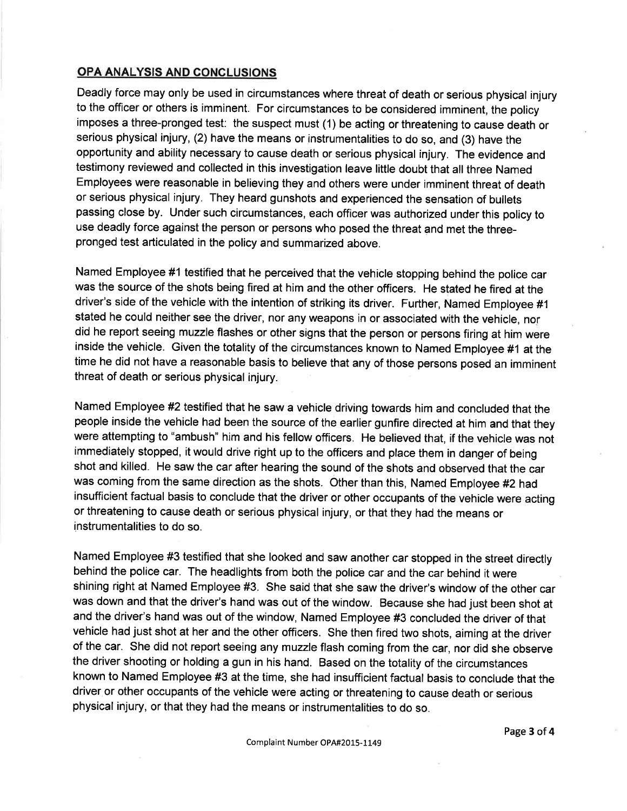# OPA ANALYSIS AND CONCLUSIONS

Deadly force may only be used in circumstances where threat of death or serious physical injury to the officer or others is imminent. For circumstances to be considered imminent, the policy imposes a three-pronged test: the suspect must (1) be acting or threatening to cause death or serious physical injury, (2) have the means or instrumentalities to do so, and (3) have the opportunity and ability necessary to cause death or serious physical injury. The evidence and testimony reviewed and collected in this investigation leave little doubt that all three Named Employees were reasonable in believing they and others were under imminent threat of death or serious physical injury. They heard gunshots and experienced the sensation of bullets passing close by. Under such circumstances, each officer was authorized under this policy to use deadly force against the person or persons who posed the threat and met the threepronged test articulated in the policy and summarized above.

Named Employee #1 testified that he perceived that the vehicle stopping behind the police car was the source of the shots being fired at him and the other officers. He stated he fired at the driver's side of the vehicle with the intention of striking its driver. Further, Named Employee #1 stated he could neither see the driver, nor any weapons in or associated with the vehicle, nor did he report seeing muzzle flashes or other signs that the person or persons firing at him were inside the vehicle. Given the totality of the circumstances known to Named Employee #1 at the time he did not have a reasonable basis to believe that any of those persons posed an imminent threat of death or serious physical injury.

Named Employee #2 testified that he saw a vehicle driving towards him and concluded that the people inside the vehicle had been the source of the earlier gunfire directed at him and that they were attempting to "ambush" him and his fellow officers. He believed that, if the vehicle was not immediately stopped, it would drive right up to the officers and place them in danger of being shot and killed. He saw the car after hearing the sound of the shots and observed that the car was coming from the same direction as the shots. Other than this, Named Employee #2 had insufficient factual basis to conclude that the driver or other occupants of the vehicle were acting or threatening to cause death or serious physical injury, or that they had the means or instrumentalities to do so.

Named Employee #3 testified that she looked and saw another car stopped in the street direcfly behind the police car. The headlights from both the police car and the car behind it were shining right at Named Employee #3. She said that she saw the driver's window of the other car was down and that the driver's hand was out of the window. Because she had just been shot at and the driver's hand was out of the window, Named Employee #3 concluded the driver of that vehicle had just shot at her and the other officers. She then fired two shots, aiming at the driver of the car. She did not report seeing any muzzle flash coming from the car, nor did she observe the driver shooting or holding a gun in his hand. Based on the totality of the circumstances known to Named Employee #3 at the time, she had insufficient factual basis to conclude that the driver or other occupants of the vehicle were acting or threatening to cause death or serious physical injury, or that they had the means or instrumentalities to do so.

Page 3 of 4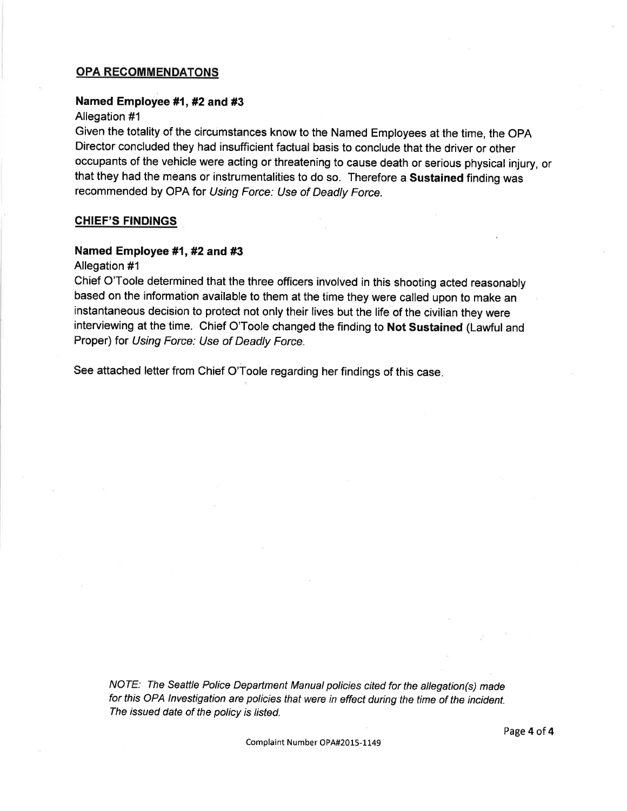## OPA RECOMMENDATONS

#### Named Employee #1, #2 and #3

#### Allegation #1

Given the totality of the circumstances know to the Named Employees at the time, the OpA Director concluded they had insufficient factual basis to conclude that the driver or other occupants of the vehicle were acting or threatening to cause death or serious physical injury, or that they had the means or instrumentalities to do so. Therefore a Sustained finding was recommended by OPA for Using Force: Use of Deadly Force.

#### CHIEF'S FINDINGS

## Named Employee #1,#2 and #3

#### Allegation #1

Chief O'Toole determined that the three officers involved in this shooting acted reasonably based on the information available to them at the time they were called upon to make an instantaneous decision to protect not only their lives but the life of the civilian they were interviewing at the time. Chief O'Toole changed the finding to Not Sustained (Lawful and Proper) for Using Force: Use of Deadly Force.

See attached letter from Chief O'Toole regarding her findings of this case.

NOTE: The Seattle Police Department Manual policies cited for the allegation(s) made for this OPA lnvestigation are policies that were in effect during the time of the incident. The issued date of the policy is listed.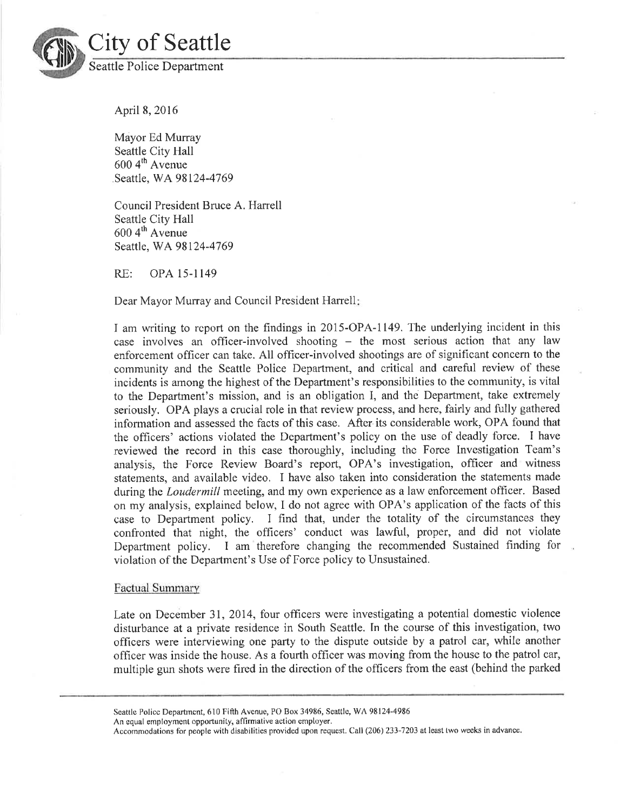

City of Seattle Seattle Police Department

April8,20l6

Mayor Ed Murray Seattle City Hall  $600 \, 4$ <sup>th</sup> Avenue Seattle, WA98124-4769

Council President Bruce A. Harrell Seattle City Hall  $600\,4^{\text{th}}$  Avenue Seattle, WA 98124-4769

RE: OPA 15-l149

Dear Mayor Murray and Council President Harrell:

I am writing to report on the frndings in 2015-OPA-1149. The underlying incident in this case involves an officer-involved shooting  $-$  the most serious action that any law enforcement officer can take. All officer-involved shootings are of significant concern to the community and the Seattle Police Department, and critical and careful review of these incidents is among the highest of the Department's responsibilities to the community, is vital to the Department's mission, and is an obligation I, and the Department, take extremely seriously, OPA plays a crucial role in that review process, and here, fairly and fully gathered information and assessed the facts of this case. After its considerable work, OPA found that the offrcers' actions violated the Department's policy on the use of deadly force. I have reviewed the record in this case thoroughly, including the Force Investigation Team's analysis, the Force Review Board's report, OPA's investigation, officer and witness statements, and available video. I have also taken into consideration the statements made during the *Loudermill* meeting, and my own experience as a law enforcement officer. Based on my analysis, explained below, I do not agree with OPA's application of the facts of this case to Department policy. I find that, under the totality of the circumstances they confronted that night, the offrcers' conduct was lawful, proper, and did not violate Department policy. I am therefore changing the recommended Sustained finding for violation of the Department's Use of Force policy to Unsustained.

#### Factual Summarv

Late on December 31, 2014, four officers were investigating a potential domestic violence disturbance at a private residence in South Seattle. In the course of this investigation, two ofhcers were interviewing one party to the dispute outside by a patrol car, while another offrcer was inside the house. As a fourth officer was moving from the house to the patrol car, multiple gun shots were fired in the direction of the officers from the east (behind the parked

Seattle Police Department, 610 Fifth Avenue, PO Box 34986, Seattle, WA 98124-4986

An equal employment opportunity, affirmative action employer.

Accommodations for people with disabilities provided upon request. Call (206) 233-7203 at least two weeks in advance.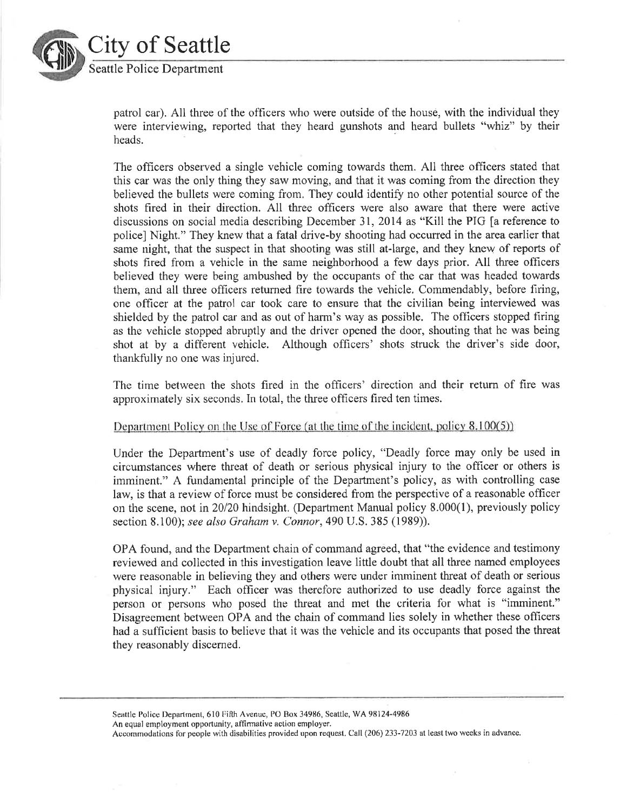

# City of Seattle Seattle Police Department

patrol car). All three of the of'ficers who were outside of the house, with the individual they were interviewing, reported that they heard gunshots and heard bullets "whiz" by their heads.

The officers observed a single vehicle coming towards them. All three officers stated that this car was the only thing they saw moving, and that it was coming from the direction they believed the bullets were coming from. They could identify no other potential source of the shots fired in their direction. All three offìcers were also aware that there were active discussions on social media describing December 31,2014 as "Kill the PIG [a reference to police] Night." They knew that a fatal drive-by shooting had occurred in the area earlier that same night, that the suspect in that shooting was still at-large, and they knew of reports of shots fired from a vehicle in the same neighborhood a few days prior. All three officers believed they were being ambushed by the occupants of the car that was headed towards them, and all three officers returned fire towards the vehicle. Commendably, before firing, one officer at the patrol car took care to ensure that the civilian being interviewed was shielded by the patrol car and as out of harm's way as possible. The officers stopped firing as the vehicle stopped abruptly and the driver opened the door, shouting that he was being shot at by a different vehicle. Although officers' shots struck the driver's side door, thankfully no one was injured.

The time between the shots fired in the officers' direction and their retum of fire was approximately six seçonds. In total, the three officers fired ten times.

#### Department Policy on the Use of Force (at the time of the incident, policy  $8.100(5)$ )

Under the Department's use of deadly force policy, "Deadly force may only be used in circumstances where threat of death or serious physical injury to the officer or others is imminent." A fundamental principle of the Department's policy, as with controlling case law, is that a review of force must be considered from the perspective of a reasonable officer on the scene, not in 20/20 hindsight. (Department Manual policy 8.000(1), previously policy section 8.100); see also Graham v. Connor, 490 U.S. 385 (1989)).

OPA found, and the Department chain of command agreed, that "the evidence and testimony reviewed and collected in this investigation leave little doubt that all three named employees were reasonable in believing they and others were under imminent threat of death or serious physical injury." Each officer was therefore authorized to use deadly force against the person or persons who posed the threat and met the criteria for what is "imminent." Disagreement between OPA and the chain of command lies solely in whether these officers had a sufficient basis to believe that it was the vehicle and its occupants that posed the threat they reasonably discemed.

Seattle Police Department, 610 Fiffi Avenue, PO Box 34986, Seattle, WA 98124-498ó An equal employment opportunity, affirmative action employer.

Accommodations for people with disabilities provided upon request, Call (206) 233-7203 at least two weeks in advance.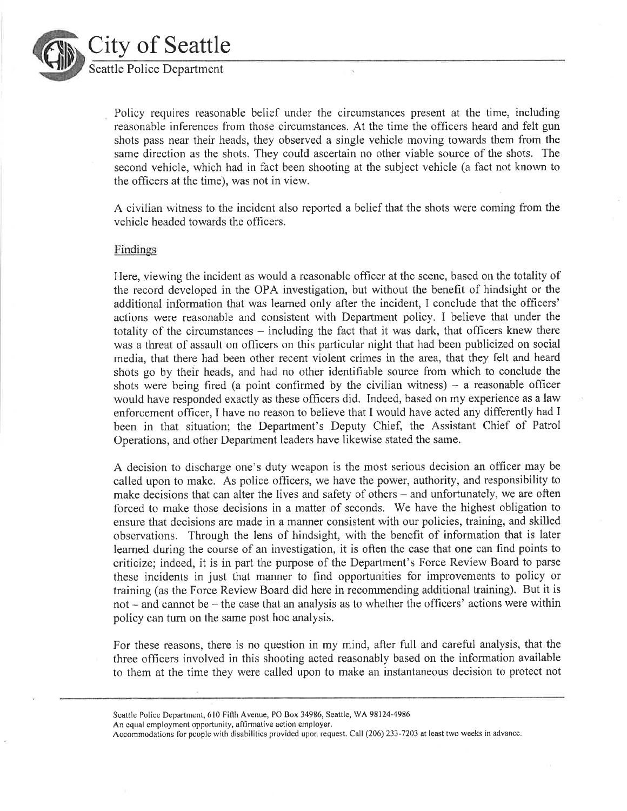

City of Seattle Seattle Police Department

> Policy requires reasonable belief under the circumstances present at the time, including reasonable inferences from those circumstances. At the time the officers heard and felt gun shots pass near their heads, they observed a single vehicle moving towards them from the same direction as the shots. They could ascertain no other viable source of the shots. The second vehicle, which had in fact been shooting at the subject vehicle (a fact not known to the officers at the time), was not in view.

 $\bar{\rm x}$ 

A civilian witness to the incident also reported a belief that the shots were coming from the vehicle headed towards the officers.

#### Findings

Here, viewing the incident as would a reasonable officer at the scene, based on the totality of the record developed in the OPA investigation, but without the beneht of hindsight or the additional information that was learned only after the incident, I conclude that the officers' actions were reasonable and consistent with Department policy, I believe that under the totality of the circumstances  $-$  including the fact that it was dark, that officers knew there was a threat of assault on ofIìcers on this particular night that had been publicized on social media, that there had been other recent violent crimes in the area, that they felt and heard shots go by their heads, and had no other identifiable source from which to conclude the shots were being fired (a point confirmed by the civilian witness)  $-$  a reasonable officer would have responded exactly as these officers did. Indeed, based on my experience as a law enforcement officer, I have no reason to believe that I would have acted any differently had I been in that situation; the Department's Deputy Chief, the Assistant Chief of Patrol Operations, and other Department leaders have likewise stated the same.

A decision to discharge one's duty weapon is the most serious decision an officer tnay be called upon to make. As police offìcers, we have the power, authority, and responsibility to make decisions that can alter the lives and safety of others - and unfortunately, we are often forced to make those decisions in a matter of seconds. We have the highest obligation to ensure that decisions are made in a manner consistent with our policies, training, and skilled observations. Through the lens of hindsight, with the benefit of information that is later learned during the course of an investigation, it is often the case that one can find points to criticize; indeed, it is in part the purpose of the Department's Force Review Board to parse these incidents in just that manner to find opportunities for improvements to policy or training (as the Force Review Board did here in recommending additional training). But it is not  $-$  and cannot be  $-$  the case that an analysis as to whether the officers' actions were within policy can turn on the same post hoc analysis.

For these reasons, there is no question in my mind, after full and careful analysis, that the three officers involved in this shooting acted reasonably based on the information available to them at the time they were called upon to make an instantaneous decision to protect not

Seattle Police Department, 610 Fifth Avenue, PO Box 34986, Seattle, WA 98124-4986

An equal cmployment opportunity, alfirmative action employer.

Accommodations for people with disabilities provided upon request. Call (206) 233-7203 at least two weeks in advance.